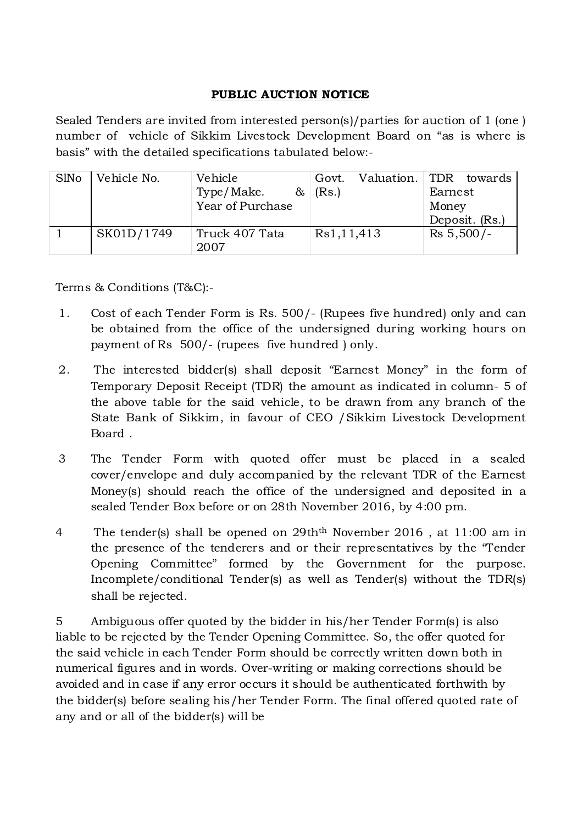## PUBLIC AUCTION NOTICE

Sealed Tenders are invited from interested person(s)/parties for auction of 1 (one ) number of vehicle of Sikkim Livestock Development Board on "as is where is basis" with the detailed specifications tabulated below:-

| <b>S</b> lNo | Vehicle No. | Vehicle                | Govt. | Valuation. TDR towards |         |                |
|--------------|-------------|------------------------|-------|------------------------|---------|----------------|
|              |             | Type/Make.<br>$\infty$ | (Rs.) |                        | Earnest |                |
|              |             | Year of Purchase       |       |                        | Money   |                |
|              |             |                        |       |                        |         | Deposit. (Rs.) |
|              | SK01D/1749  | Truck 407 Tata         |       | Rs1,11,413             |         | $Rs\ 5,500/-$  |
|              |             | 2007                   |       |                        |         |                |

Terms & Conditions (T&C):-

- 1. Cost of each Tender Form is Rs. 500/- (Rupees five hundred) only and can be obtained from the office of the undersigned during working hours on payment of Rs 500/- (rupees five hundred ) only.
- 2. The interested bidder(s) shall deposit "Earnest Money" in the form of Temporary Deposit Receipt (TDR) the amount as indicated in column- 5 of the above table for the said vehicle, to be drawn from any branch of the State Bank of Sikkim, in favour of CEO /Sikkim Livestock Development Board .
- 3 The Tender Form with quoted offer must be placed in a sealed cover/envelope and duly accompanied by the relevant TDR of the Earnest Money(s) should reach the office of the undersigned and deposited in a sealed Tender Box before or on 28th November 2016, by 4:00 pm.
- 4 The tender(s) shall be opened on 29thth November 2016 , at 11:00 am in the presence of the tenderers and or their representatives by the "Tender Opening Committee" formed by the Government for the purpose. Incomplete/conditional Tender(s) as well as Tender(s) without the TDR(s) shall be rejected.

5 Ambiguous offer quoted by the bidder in his/her Tender Form(s) is also liable to be rejected by the Tender Opening Committee. So, the offer quoted for the said vehicle in each Tender Form should be correctly written down both in numerical figures and in words. Over-writing or making corrections should be avoided and in case if any error occurs it should be authenticated forthwith by the bidder(s) before sealing his/her Tender Form. The final offered quoted rate of any and or all of the bidder(s) will be